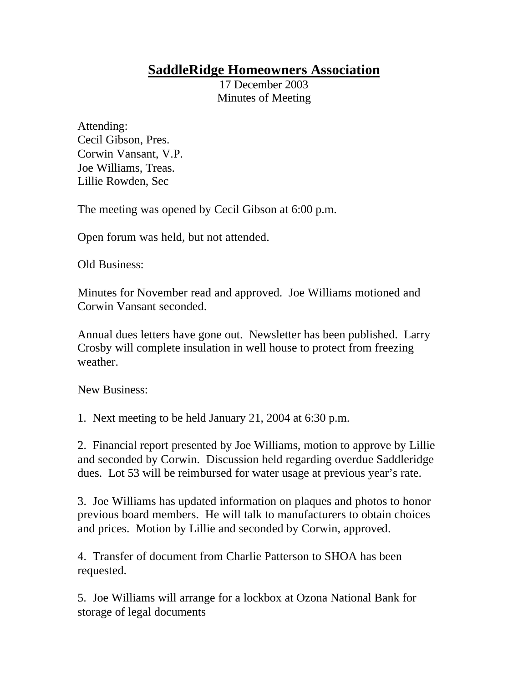## **SaddleRidge Homeowners Association**

17 December 2003 Minutes of Meeting

Attending: Cecil Gibson, Pres. Corwin Vansant, V.P. Joe Williams, Treas. Lillie Rowden, Sec

The meeting was opened by Cecil Gibson at 6:00 p.m.

Open forum was held, but not attended.

Old Business:

Minutes for November read and approved. Joe Williams motioned and Corwin Vansant seconded.

Annual dues letters have gone out. Newsletter has been published. Larry Crosby will complete insulation in well house to protect from freezing weather.

New Business:

1. Next meeting to be held January 21, 2004 at 6:30 p.m.

2. Financial report presented by Joe Williams, motion to approve by Lillie and seconded by Corwin. Discussion held regarding overdue Saddleridge dues. Lot 53 will be reimbursed for water usage at previous year's rate.

3. Joe Williams has updated information on plaques and photos to honor previous board members. He will talk to manufacturers to obtain choices and prices. Motion by Lillie and seconded by Corwin, approved.

4. Transfer of document from Charlie Patterson to SHOA has been requested.

5. Joe Williams will arrange for a lockbox at Ozona National Bank for storage of legal documents